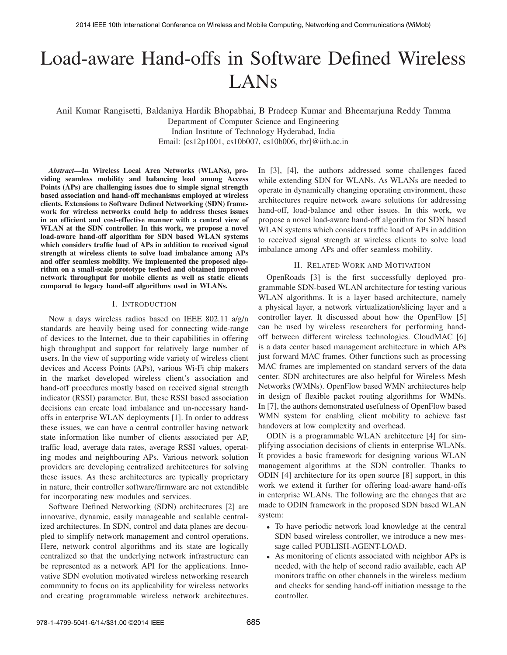# Load-aware Hand-offs in Software Defined Wireless LANs

Anil Kumar Rangisetti, Baldaniya Hardik Bhopabhai, B Pradeep Kumar and Bheemarjuna Reddy Tamma

Department of Computer Science and Engineering Indian Institute of Technology Hyderabad, India Email: [cs12p1001, cs10b007, cs10b006, tbr]@iith.ac.in

*Abstract*—In Wireless Local Area Networks (WLANs), providing seamless mobility and balancing load among Access Points (APs) are challenging issues due to simple signal strength based association and hand-off mechanisms employed at wireless clients. Extensions to Software Defined Networking (SDN) framework for wireless networks could help to address theses issues in an efficient and cost-effective manner with a central view of WLAN at the SDN controller. In this work, we propose a novel load-aware hand-off algorithm for SDN based WLAN systems which considers traffic load of APs in addition to received signal strength at wireless clients to solve load imbalance among APs and offer seamless mobility. We implemented the proposed algorithm on a small-scale prototype testbed and obtained improved network throughput for mobile clients as well as static clients compared to legacy hand-off algorithms used in WLANs.

## I. INTRODUCTION

Now a days wireless radios based on IEEE 802.11 a/g/n standards are heavily being used for connecting wide-range of devices to the Internet, due to their capabilities in offering high throughput and support for relatively large number of users. In the view of supporting wide variety of wireless client devices and Access Points (APs), various Wi-Fi chip makers in the market developed wireless client's association and hand-off procedures mostly based on received signal strength indicator (RSSI) parameter. But, these RSSI based association decisions can create load imbalance and un-necessary handoffs in enterprise WLAN deployments [1]. In order to address these issues, we can have a central controller having network state information like number of clients associated per AP, traffic load, average data rates, average RSSI values, operating modes and neighbouring APs. Various network solution providers are developing centralized architectures for solving these issues. As these architectures are typically proprietary in nature, their controller software/firmware are not extendible for incorporating new modules and services.

Software Defined Networking (SDN) architectures [2] are innovative, dynamic, easily manageable and scalable centralized architectures. In SDN, control and data planes are decoupled to simplify network management and control operations. Here, network control algorithms and its state are logically centralized so that the underlying network infrastructure can be represented as a network API for the applications. Innovative SDN evolution motivated wireless networking research community to focus on its applicability for wireless networks and creating programmable wireless network architectures. In [3], [4], the authors addressed some challenges faced while extending SDN for WLANs. As WLANs are needed to operate in dynamically changing operating environment, these architectures require network aware solutions for addressing hand-off, load-balance and other issues. In this work, we propose a novel load-aware hand-off algorithm for SDN based WLAN systems which considers traffic load of APs in addition to received signal strength at wireless clients to solve load imbalance among APs and offer seamless mobility.

#### II. RELATED WORK AND MOTIVATION

OpenRoads [3] is the first successfully deployed programmable SDN-based WLAN architecture for testing various WLAN algorithms. It is a layer based architecture, namely a physical layer, a network virtualization/slicing layer and a controller layer. It discussed about how the OpenFlow [5] can be used by wireless researchers for performing handoff between different wireless technologies. CloudMAC [6] is a data center based management architecture in which APs just forward MAC frames. Other functions such as processing MAC frames are implemented on standard servers of the data center. SDN architectures are also helpful for Wireless Mesh Networks (WMNs). OpenFlow based WMN architectures help in design of flexible packet routing algorithms for WMNs. In [7], the authors demonstrated usefulness of OpenFlow based WMN system for enabling client mobility to achieve fast handovers at low complexity and overhead.

ODIN is a programmable WLAN architecture [4] for simplifying association decisions of clients in enterprise WLANs. It provides a basic framework for designing various WLAN management algorithms at the SDN controller. Thanks to ODIN [4] architecture for its open source [8] support, in this work we extend it further for offering load-aware hand-offs in enterprise WLANs. The following are the changes that are made to ODIN framework in the proposed SDN based WLAN system:

- To have periodic network load knowledge at the central SDN based wireless controller, we introduce a new message called PUBLISH-AGENT-LOAD.
- As monitoring of clients associated with neighbor APs is needed, with the help of second radio available, each AP monitors traffic on other channels in the wireless medium and checks for sending hand-off initiation message to the controller.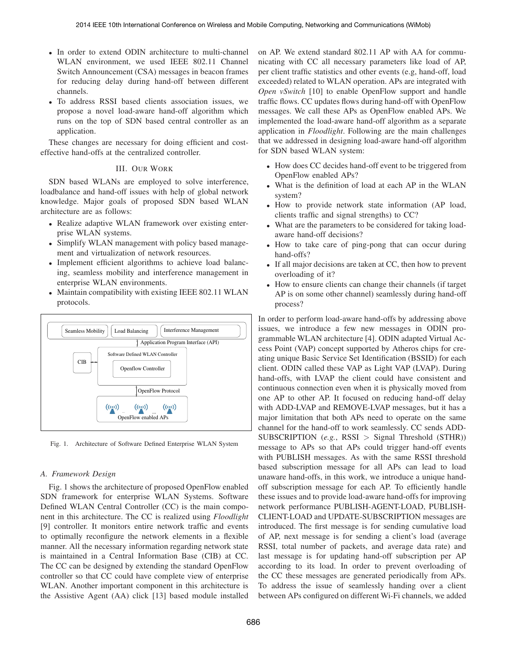- In order to extend ODIN architecture to multi-channel WLAN environment, we used IEEE 802.11 Channel Switch Announcement (CSA) messages in beacon frames for reducing delay during hand-off between different channels.
- To address RSSI based clients association issues, we propose a novel load-aware hand-off algorithm which runs on the top of SDN based central controller as an application.

These changes are necessary for doing efficient and costeffective hand-offs at the centralized controller.

## III. OUR WORK

SDN based WLANs are employed to solve interference, loadbalance and hand-off issues with help of global network knowledge. Major goals of proposed SDN based WLAN architecture are as follows:

- Realize adaptive WLAN framework over existing enterprise WLAN systems.
- Simplify WLAN management with policy based management and virtualization of network resources.
- Implement efficient algorithms to achieve load balancing, seamless mobility and interference management in enterprise WLAN environments.
- Maintain compatibility with existing IEEE 802.11 WLAN protocols.



Fig. 1. Architecture of Software Defined Enterprise WLAN System

## *A. Framework Design*

Fig. 1 shows the architecture of proposed OpenFlow enabled SDN framework for enterprise WLAN Systems. Software Defined WLAN Central Controller (CC) is the main component in this architecture. The CC is realized using *Floodlight* [9] controller. It monitors entire network traffic and events to optimally reconfigure the network elements in a flexible manner. All the necessary information regarding network state is maintained in a Central Information Base (CIB) at CC. The CC can be designed by extending the standard OpenFlow controller so that CC could have complete view of enterprise WLAN. Another important component in this architecture is the Assistive Agent (AA) click [13] based module installed

on AP. We extend standard 802.11 AP with AA for communicating with CC all necessary parameters like load of AP, per client traffic statistics and other events (e.g, hand-off, load exceeded) related to WLAN operation. APs are integrated with *Open vSwitch* [10] to enable OpenFlow support and handle traffic flows. CC updates flows during hand-off with OpenFlow messages. We call these APs as OpenFlow enabled APs. We implemented the load-aware hand-off algorithm as a separate application in *Floodlight*. Following are the main challenges that we addressed in designing load-aware hand-off algorithm for SDN based WLAN system:

- How does CC decides hand-off event to be triggered from OpenFlow enabled APs?
- What is the definition of load at each AP in the WLAN system?
- How to provide network state information (AP load, clients traffic and signal strengths) to CC?
- What are the parameters to be considered for taking loadaware hand-off decisions?
- How to take care of ping-pong that can occur during hand-offs?
- If all major decisions are taken at CC, then how to prevent overloading of it?
- How to ensure clients can change their channels (if target AP is on some other channel) seamlessly during hand-off process?

In order to perform load-aware hand-offs by addressing above issues, we introduce a few new messages in ODIN programmable WLAN architecture [4]. ODIN adapted Virtual Access Point (VAP) concept supported by Atheros chips for creating unique Basic Service Set Identification (BSSID) for each client. ODIN called these VAP as Light VAP (LVAP). During hand-offs, with LVAP the client could have consistent and continuous connection even when it is physically moved from one AP to other AP. It focused on reducing hand-off delay with ADD-LVAP and REMOVE-LVAP messages, but it has a major limitation that both APs need to operate on the same channel for the hand-off to work seamlessly. CC sends ADD-SUBSCRIPTION (*e.g.*, RSSI > Signal Threshold (STHR)) message to APs so that APs could trigger hand-off events with PUBLISH messages. As with the same RSSI threshold based subscription message for all APs can lead to load unaware hand-offs, in this work, we introduce a unique handoff subscription message for each AP. To efficiently handle these issues and to provide load-aware hand-offs for improving network performance PUBLISH-AGENT-LOAD, PUBLISH-CLIENT-LOAD and UPDATE-SUBSCRIPTION messages are introduced. The first message is for sending cumulative load of AP, next message is for sending a client's load (average RSSI, total number of packets, and average data rate) and last message is for updating hand-off subscription per AP according to its load. In order to prevent overloading of the CC these messages are generated periodically from APs. To address the issue of seamlessly handing over a client between APs configured on different Wi-Fi channels, we added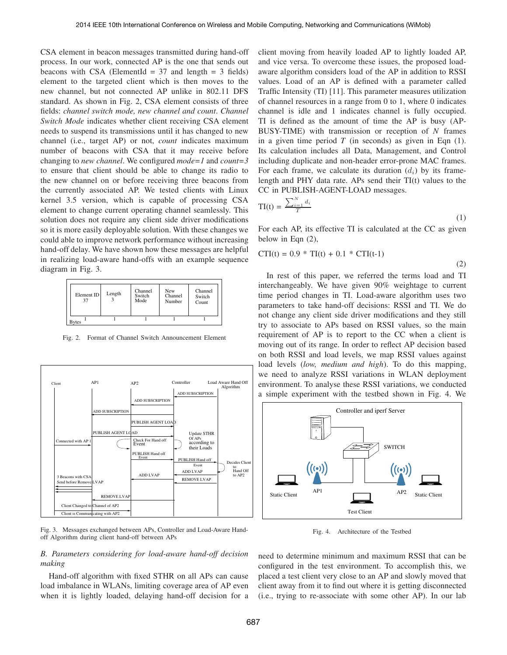CSA element in beacon messages transmitted during hand-off process. In our work, connected AP is the one that sends out beacons with CSA (ElementId  $= 37$  and length  $= 3$  fields) element to the targeted client which is then moves to the new channel, but not connected AP unlike in 802.11 DFS standard. As shown in Fig. 2, CSA element consists of three fields: *channel switch mode, new channel and count*. *Channel Switch Mode* indicates whether client receiving CSA element needs to suspend its transmissions until it has changed to new channel (i.e., target AP) or not, *count* indicates maximum number of beacons with CSA that it may receive before changing to *new channel*. We configured *mode=1* and *count=3* to ensure that client should be able to change its radio to the new channel on or before receiving three beacons from the currently associated AP. We tested clients with Linux kernel 3.5 version, which is capable of processing CSA element to change current operating channel seamlessly. This solution does not require any client side driver modifications so it is more easily deployable solution. With these changes we could able to improve network performance without increasing hand-off delay. We have shown how these messages are helpful in realizing load-aware hand-offs with an example sequence diagram in Fig. 3.

| Element ID<br>37 | Length | Channel<br>Switch<br>Mode | New<br>Channel<br>Number | Channel<br>Switch<br>Count |
|------------------|--------|---------------------------|--------------------------|----------------------------|
| vtes             |        |                           |                          |                            |

Fig. 2. Format of Channel Switch Announcement Element



Fig. 3. Messages exchanged between APs, Controller and Load-Aware Handoff Algorithm during client hand-off between APs

## *B. Parameters considering for load-aware hand-off decision making*

Hand-off algorithm with fixed STHR on all APs can cause load imbalance in WLANs, limiting coverage area of AP even when it is lightly loaded, delaying hand-off decision for a client moving from heavily loaded AP to lightly loaded AP, and vice versa. To overcome these issues, the proposed loadaware algorithm considers load of the AP in addition to RSSI values. Load of an AP is defined with a parameter called Traffic Intensity (TI) [11]. This parameter measures utilization of channel resources in a range from 0 to 1, where 0 indicates channel is idle and 1 indicates channel is fully occupied. TI is defined as the amount of time the AP is busy (AP-BUSY-TIME) with transmission or reception of *N* frames in a given time period *T* (in seconds) as given in Eqn (1). Its calculation includes all Data, Management, and Control including duplicate and non-header error-prone MAC frames. For each frame, we calculate its duration  $(d<sub>i</sub>)$  by its framelength and PHY data rate. APs send their TI(t) values to the CC in PUBLISH-AGENT-LOAD messages.

$$
TI(t) = \frac{\sum_{i=1}^{N} d_i}{T}
$$
\n(1)

For each AP, its effective TI is calculated at the CC as given below in Eqn (2),

$$
CTI(t) = 0.9 * TI(t) + 0.1 * CTI(t-1)
$$
\n(2)

In rest of this paper, we referred the terms load and TI interchangeably. We have given 90% weightage to current time period changes in TI. Load-aware algorithm uses two parameters to take hand-off decisions: RSSI and TI. We do not change any client side driver modifications and they still try to associate to APs based on RSSI values, so the main requirement of AP is to report to the CC when a client is moving out of its range. In order to reflect AP decision based on both RSSI and load levels, we map RSSI values against load levels (*low, medium and high*). To do this mapping, we need to analyze RSSI variations in WLAN deployment environment. To analyse these RSSI variations, we conducted a simple experiment with the testbed shown in Fig. 4. We



Fig. 4. Architecture of the Testbed

need to determine minimum and maximum RSSI that can be configured in the test environment. To accomplish this, we placed a test client very close to an AP and slowly moved that client away from it to find out where it is getting disconnected (i.e., trying to re-associate with some other AP). In our lab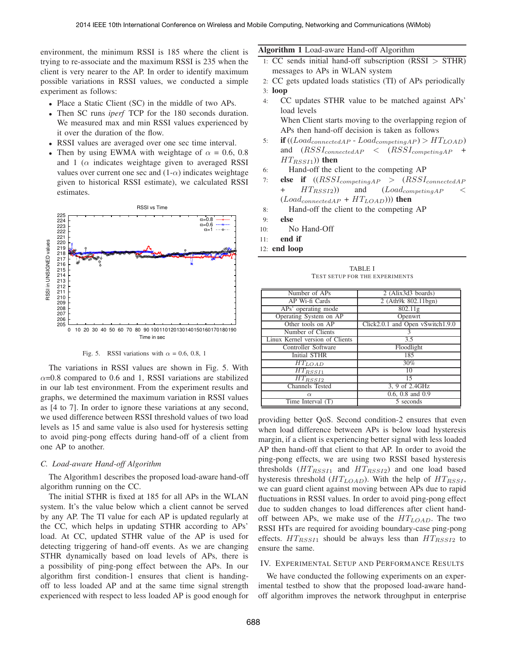environment, the minimum RSSI is 185 where the client is trying to re-associate and the maximum RSSI is 235 when the client is very nearer to the AP. In order to identify maximum possible variations in RSSI values, we conducted a simple experiment as follows:

- Place a Static Client (SC) in the middle of two APs.
- Then SC runs *iperf* TCP for the 180 seconds duration. We measured max and min RSSI values experienced by it over the duration of the flow.
- RSSI values are averaged over one sec time interval.
- Then by using EWMA with weightage of  $\alpha = 0.6, 0.8$ and 1 ( $\alpha$  indicates weightage given to averaged RSSI values over current one sec and  $(1-\alpha)$  indicates weightage given to historical RSSI estimate), we calculated RSSI estimates.



Fig. 5. RSSI variations with  $\alpha = 0.6, 0.8, 1$ 

The variations in RSSI values are shown in Fig. 5. With  $\alpha$ =0.8 compared to 0.6 and 1, RSSI variations are stabilized in our lab test environment. From the experiment results and graphs, we determined the maximum variation in RSSI values as [4 to 7]. In order to ignore these variations at any second, we used difference between RSSI threshold values of two load levels as 15 and same value is also used for hysteresis setting to avoid ping-pong effects during hand-off of a client from one AP to another.

## *C. Load-aware Hand-off Algorithm*

The Algorithm1 describes the proposed load-aware hand-off algorithm running on the CC.

The initial STHR is fixed at 185 for all APs in the WLAN system. It's the value below which a client cannot be served by any AP. The TI value for each AP is updated regularly at the CC, which helps in updating STHR according to APs' load. At CC, updated STHR value of the AP is used for detecting triggering of hand-off events. As we are changing STHR dynamically based on load levels of APs, there is a possibility of ping-pong effect between the APs. In our algorithm first condition-1 ensures that client is handingoff to less loaded AP and at the same time signal strength experienced with respect to less loaded AP is good enough for

# Algorithm 1 Load-aware Hand-off Algorithm

- 1: CC sends initial hand-off subscription (RSSI > STHR) messages to APs in WLAN system
- 2: CC gets updated loads statistics (TI) of APs periodically 3: loop
- 4: CC updates STHR value to be matched against APs' load levels

When Client starts moving to the overlapping region of APs then hand-off decision is taken as follows

- 5: **if**  $((Load_{connectedAP} Load_{competingAP}) > HT<sub>LOAD</sub>)$ and  $(RSSI_{connectedAP} < (RSSI_{competingAP} +$  $HT_{RSSI1})$ ) then
- 6: Hand-off the client to the competing AP
- 7: **else if**  $((RSSI_{competingAP} > (RSSI_{connectedAP}$ +  $HT_{RSSI2}$ ) and  $(Load_{competingAP}$  <  $(Load_{connectedAP} + HT_{LOAD}))$ ) then
- 8: Hand-off the client to the competing AP
- 9: else
- 10: No Hand-Off
- 11: end if
- 12: end loop

TABLE I TEST SETUP FOR THE EXPERIMENTS

| Number of APs                   | 2 (Alix3d3 boards)               |  |
|---------------------------------|----------------------------------|--|
| AP Wi-fi Cards                  | 2 (Ath9k 802.11bgn)              |  |
| APs' operating mode             | 802.11g                          |  |
| Operating System on AP          | Openwrt                          |  |
| Other tools on AP               | Click2.0.1 and Open vSwitch1.9.0 |  |
| Number of Clients               | 3                                |  |
| Linux Kernel version of Clients | $\overline{3.5}$                 |  |
| Controller Software             | Floodlight                       |  |
| <b>Initial STHR</b>             | 185                              |  |
| $\overline{HT}_{LOAD}$          | 30%                              |  |
| $HT_{RSSI1}$                    | 10                               |  |
| $HT_{RSSI2}$                    | 15                               |  |
| <b>Channels</b> Tested          | 3, 9 of $2.4GHz$                 |  |
| $\alpha$                        | $0.6, 0.8$ and $0.9$             |  |
| Time Interval (T)               | 5 seconds                        |  |

providing better QoS. Second condition-2 ensures that even when load difference between APs is below load hysteresis margin, if a client is experiencing better signal with less loaded AP then hand-off that client to that AP. In order to avoid the ping-pong effects, we are using two RSSI based hysteresis thresholds  $(HT_{RSSI1}$  and  $HT_{RSSI2}$ ) and one load based hysteresis threshold  $(HT_{LOAD})$ . With the help of  $HT_{RSSI}$ , we can guard client against moving between APs due to rapid fluctuations in RSSI values. In order to avoid ping-pong effect due to sudden changes to load differences after client handoff between APs, we make use of the  $HT<sub>LOAD</sub>$ . The two RSSI HTs are required for avoiding boundary-case ping-pong effects.  $HT_{RSSI1}$  should be always less than  $HT_{RSSI2}$  to ensure the same.

## IV. EXPERIMENTAL SETUP AND PERFORMANCE RESULTS

We have conducted the following experiments on an experimental testbed to show that the proposed load-aware handoff algorithm improves the network throughput in enterprise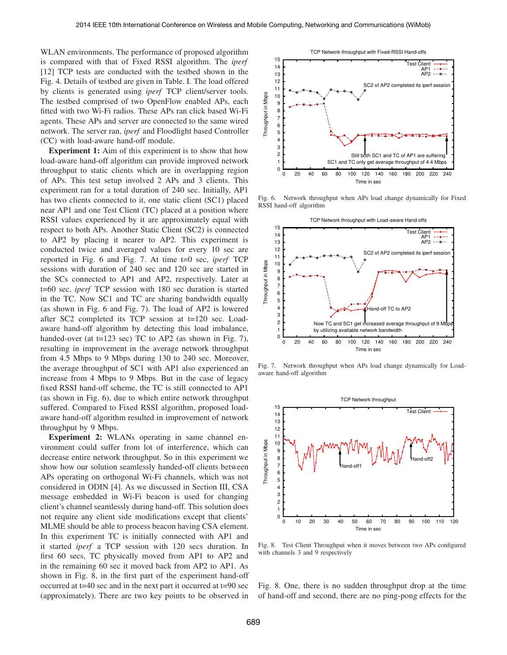WLAN environments. The performance of proposed algorithm is compared with that of Fixed RSSI algorithm. The *iperf* [12] TCP tests are conducted with the testbed shown in the Fig. 4. Details of testbed are given in Table. I. The load offered by clients is generated using *iperf* TCP client/server tools. The testbed comprised of two OpenFlow enabled APs, each fitted with two Wi-Fi radios. These APs ran click based Wi-Fi agents. These APs and server are connected to the same wired network. The server ran, *iperf* and Floodlight based Controller (CC) with load-aware hand-off module.

Experiment 1: Aim of this experiment is to show that how load-aware hand-off algorithm can provide improved network throughput to static clients which are in overlapping region of APs. This test setup involved 2 APs and 3 clients. This experiment ran for a total duration of 240 sec. Initially, AP1 has two clients connected to it, one static client (SC1) placed near AP1 and one Test Client (TC) placed at a position where RSSI values experienced by it are approximately equal with respect to both APs. Another Static Client (SC2) is connected to AP2 by placing it nearer to AP2. This experiment is conducted twice and averaged values for every 10 sec are reported in Fig. 6 and Fig. 7. At time t=0 sec, *iperf* TCP sessions with duration of 240 sec and 120 sec are started in the SCs connected to AP1 and AP2, respectively. Later at t=60 sec, *iperf* TCP session with 180 sec duration is started in the TC. Now SC1 and TC are sharing bandwidth equally (as shown in Fig. 6 and Fig. 7). The load of AP2 is lowered after SC2 completed its TCP session at t=120 sec. Loadaware hand-off algorithm by detecting this load imbalance, handed-over (at t=123 sec) TC to AP2 (as shown in Fig. 7), resulting in improvement in the average network throughput from 4.5 Mbps to 9 Mbps during 130 to 240 sec. Moreover, the average throughput of SC1 with AP1 also experienced an increase from 4 Mbps to 9 Mbps. But in the case of legacy fixed RSSI hand-off scheme, the TC is still connected to AP1 (as shown in Fig. 6), due to which entire network throughput suffered. Compared to Fixed RSSI algorithm, proposed loadaware hand-off algorithm resulted in improvement of network throughput by 9 Mbps.

Experiment 2: WLANs operating in same channel environment could suffer from lot of interference, which can decrease entire network throughput. So in this experiment we show how our solution seamlessly handed-off clients between APs operating on orthogonal Wi-Fi channels, which was not considered in ODIN [4]. As we discussed in Section III, CSA message embedded in Wi-Fi beacon is used for changing client's channel seamlessly during hand-off. This solution does not require any client side modifications except that clients' MLME should be able to process beacon having CSA element. In this experiment TC is initially connected with AP1 and it started *iperf* a TCP session with 120 secs duration. In first 60 secs, TC physically moved from AP1 to AP2 and in the remaining 60 sec it moved back from AP2 to AP1. As shown in Fig. 8, in the first part of the experiment hand-off occurred at t=40 sec and in the next part it occurred at t=90 sec (approximately). There are two key points to be observed in



Fig. 6. Network throughput when APs load change dynamically for Fixed RSSI hand-off algorithm



Fig. 7. Network throughput when APs load change dynamically for Loadaware hand-off algorithm



Fig. 8. Test Client Throughput when it moves between two APs configured with channels 3 and 9 respectively

Fig. 8. One, there is no sudden throughput drop at the time of hand-off and second, there are no ping-pong effects for the